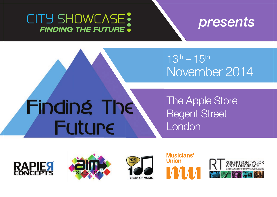# CITY SHOWCASE: **FINDING THE FUTURE .**



 $13^{th} - 15^{th}$ November 2014

# Finding The **Future**

# The Apple Store Regent Street London









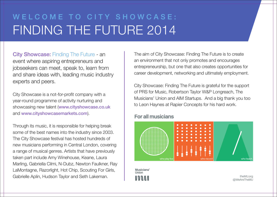# WELCOME TO CITY SHOWCASE: FINDING THE FUTURE 2014

City Showcase: Finding The Future - an event where aspiring entrepreneurs and jobseekers can meet, speak to, learn from and share ideas with, leading music industry experts and peers.

City Showcase is a not-for-profit company with a year-round programme of activity nurturing and showcasing new talent (www.cityshowcase.co.uk and www.cityshowcasemarkets.com).

Through its music, it is responsible for helping break some of the best names into the industry since 2003. The City Showcase festival has hosted hundreds of new musicians performing in Central London, covering a range of musical genres. Artists that have previously taken part include Amy Winehouse, Keane, Laura Marling, Gabriella Cilmi, N-Dubz, Newton Faulkner, Ray LaMontagne, Razorlight, Hot Chip, Scouting For Girls, Gabrielle Aplin, Hudson Taylor and Seth Lakeman.

The aim of City Showcase: Finding The Future is to create an environment that not only promotes and encourages entrepreneurship, but one that also creates opportunities for career development, networking and ultimately employment.

City Showcase: Finding The Future is grateful for the support of PRS for Music, Robertson Taylor W&P Longreach, The Musicians' Union and AIM Startups. And a big thank you too to Leon Haynes at Rapier Concepts for his hard work.

### **For all musicians**



theMU.org @WeAreTheMU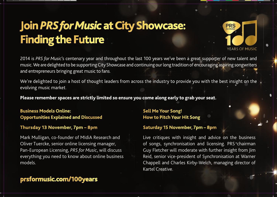# **Join PRS for Music at City Showcase: Finding the Future**



2014 is PRS for Music's centenary year and throughout the last 100 years we've been a great supporter of new talent and music. We are delighted to be supporting City Showcase and continuing our long tradition of encouraging aspiring songwriters and entrepreneurs bringing great music to fans.

We're delighted to join a host of thought leaders from across the industry to provide you with the best insight on the evolving music market.

Please remember spaces are strictly limited so ensure you come along early to grab your seat.

### **Business Models Online: Opportunities Explained and Discussed**

### **Thursday 13 November, 7pm – 8pm**

Mark Mulligan, co-founder of MIdiA Research and Oliver Tuercke, senior online licensing manager, Pan-European Licensing, *PRS for Music*, will discuss everything you need to know about online business models.

## prsformusic.com/100years

### **Sell Me Your Song! How to Pitch Your Hit Song**

### **Saturday 15 November, 7pm – 8pm**

Live critiques with insight and advice on the business of songs, synchronisation and licensing. PRS chairman Guy Fletcher will moderate with further insight from Jim Reid, senior vice-president of Synchronisation at Warner Chappell and Charles Kirby-Welch, managing director of Kartel Creative.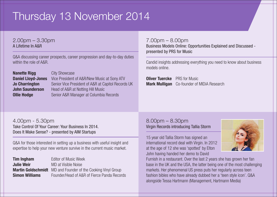# Thursday 13 November 2014

2.00pm – 3.30pm A Lifetime In A&R

Q&A discussing career prospects, career progression and day-to-day duties within the role of A&R

**Nanette Rigg City Showcase Daniel Lloyd-Jones** Vice President of A&R/New Music at Sony ATV **Jo Charrington** Senior Vice President of A&R at Capitol Records UK **John Saunderson** Head of A&R at Notting Hill Music **Ollie Hodge** Senior A&R Manager at Columbia Records

7.00pm – 8.00pm Business Models Online: Opportunities Explained and Discussed presented by PRS for Music

Candid insights addressing everything you need to know about business models online.

**Oliver Tuercke** PRS for Music **Mark Mulligan** Co-founder of MIDIA Research

4.00pm - 5.30pm Take Control Of Your Career: Your Business In 2014. Does It Make Sense? - presented by AIM Startups

Q&A for those interested in setting up a business with useful insight and expertise to help your new venture survive in the current music market.

| Tim Ingham            | Editor of Music Week                                                |
|-----------------------|---------------------------------------------------------------------|
| <b>Julie Weir</b>     | MD at Visible Noise                                                 |
|                       | <b>Martin Goldschmidt</b> MD and Founder of the Cooking Vinyl Group |
| <b>Simon Williams</b> | Founder/Head of A&R of Fierce Panda Records                         |

8.00pm – 8.30pm Virgin Records introducing Tallia Storm

15 year old Tallia Storm has signed an international record deal with Virgin. In 2012 at the age of 12 she was 'spotted' by Elton John having handed her demo to David



Furnish in a restaurant. Over the last 2 years she has grown her fan base in the UK and the USA, the latter being one of the most challenging markets. Her phenomenal US press puts her regularly across teen fashion bibles who have already dubbed her a 'teen style icon'. Q&A alongside Tessa Hartmann (Management, Hartmann Media)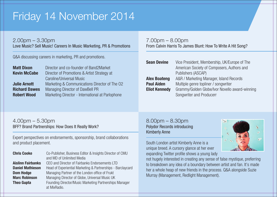# Friday 14 November 2014

### 2.00pm – 3.30pm

Love Music? Sell Music! Careers In Music Marketing, PR & Promotions

Q&A discussing careers in marketing, PR and promotions.

| <b>Matt Dixon</b>    | Director and co-founder of Band2Market           |
|----------------------|--------------------------------------------------|
| <b>Kevin McCabe</b>  | Director of Promotions & Artist Strategy at      |
|                      | Caroline/Universal Music                         |
| <b>Julie Arnott</b>  | Marketing & Communications Director of The O2    |
| <b>Richard Dawes</b> | Managing Director of DawBell PR                  |
| <b>Robert Wood</b>   | Marketing Director - International at Parlophone |

### 7.00pm – 8.00pm From Calvin Harris To James Blunt: How To Write A Hit Song?

| <b>Sean Devine</b>   | Vice President, Membership, UK/Europe of The   |
|----------------------|------------------------------------------------|
|                      | American Society of Composers, Authors and     |
|                      | Publishers (ASCAP)                             |
| <b>Alex Boateng</b>  | A&R / Marketing Manager, Island Records        |
| <b>Paul Aiden</b>    | Multiple genre topliner / songwriter           |
| <b>Eliot Kennedy</b> | Grammy/Golden Globe/Ivor Novello award-winning |
|                      | Songwriter and Producerr                       |

### 4.00pm – 5.30pm BFF? Brand Partnerships: How Does It Really Work?

Expert perspectives on endorsements, sponsorship, brand collaborations and product placement.

**Chris Cooke** Co-Publisher, Business Editor & Insights Director of CMU and MD of Unlimited Media Aislinn Fairbanks CEO and Director of Fairbanks Endorsements LTD **Daniel Mathieson** Head of Experiential Marketing & Partnerships - Barclaycard **Dom Hodge** Managing Partner of the London office of Frukt **Marc Robinson** Managing Director of Globe, Universal Music UK **Theo Gupta** Founding Director/Music Marketing Partnerships Manager at MixRadio.

8.00pm – 8.30pm Polydor Records introducing Kimberly Anne

South London artist Kimberly Anne is a unique breed. A cursory glance at her ever expanding Twitter profile shows a young lady



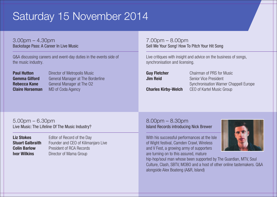# Saturday 15 November 2014

3.00pm – 4.30pm Backstage Pass: A Career In Live Music

Q&A discussing careers and event-day duties in the events side of the music industry.

| <b>Paul Hutton</b>     |
|------------------------|
| <b>Gemma Gilford</b>   |
| Rebecca Kane           |
| <b>Claire Horseman</b> |

**Director of Metropolis Music** General Manager at The Borderline General Manager at The O2 MD of Coda Agency

7.00pm – 8.00pm Sell Me Your Song! How To Pitch Your Hit Song

Live critiques with insight and advice on the business of songs, synchronisation and licensing.

**Guy Fletcher** Chairman of PRS for Music **Jim Reid Senior Vice President** Synchronisation Warner Chappell Europe **Charles Kirby-Welch** CEO of Kartel Music Group

5.00pm – 6.30pm Live Music: The Lifeline Of The Music Industry?

Liz Stokes Editor of Record of the Day **Stuart Galbraith** Founder and CEO of Kilimaniaro Live **Colin Barlow** President of RCA Records **Ivor Wilkins** Director of Mama Group

8.00pm – 8.30pm Island Records introducing Nick Brewer

With his successful performances at the Isle of Wight festival, Camden Crawl, Wireless and V Fest, a growing army of supporters are turning on to this assured, mature

hip-hop/soul man whose been supported by The Guardian, MTV, Soul Culture, Clash, SBTV, MOBO and a host of other online tastemakers. Q&A alongside Alex Boateng (A&R, Island)

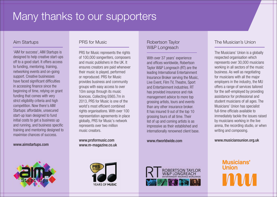# Many thanks to our supporters

#### Aim Startups

'AIM for success', AIM Startups is designed to help creative start-ups off to a good start. It offers access to funding, mentoring, training, networking events and on-going support. Creative businesses have faced significant difficulties in accessing finance since the beginning of time, relying on grant funding that comes with very strict eligibility criteria and high competition. Now there's AIM Startups: affordable, unsecured start-up loan designed to fund initial costs to get a business up and running, and business specific training and mentoring designed to maximise chances of success.

#### www.aimstartups.com



#### PRS for Music

PRS for Music represents the rights of 100,000 songwriters, composers and music publishers in the UK. It ensures creators are paid whenever their music is played, performed or reproduced. PRS for Music provides business and community groups with easy access to over 10m songs through its music licences. Collecting £665.7m in 2013, PRS for Music is one of the world's most efficient combined rights organisations. With over 100 representation agreements in place globally, PRS for Music's network represents over two million music creators.

www.prsformusic.com www.m-magazine.co.uk



#### Robertson Taylor W&P Longreach

With over 37 years' experience and offices worldwide, Robertson Taylor W&P Longreach (RT) are the leading International Entertainment Insurance Broker serving the Music, Live Event, Film TV, Theatre, Sport and Entertainment industries. RT has provided insurance and risk management advice to more top grossing artists, tours and events than any other insurance broker. It has insured 9 out of the top 10 grossing tours of all time. Their list of up and coming artists is as impressive as their established and internationally renowned client base.

www.rtworldwide.com



#### The Musician's Union

The Musicians' Union is a globally respected organisation which represents over 30,000 musicians working in all sectors of the music business. As well as negotiating for musicians with all the major employers in the industry, the MU offers a range of services tailored for the self-employed by providing assistance for professional and student musicians of all ages. The Musicians' Union has specialist full-time officials available to immediately tackle the issues raised by musicians working in the live arena, the recording studio, or when writing and composing.

www.musiciansunion.org.uk